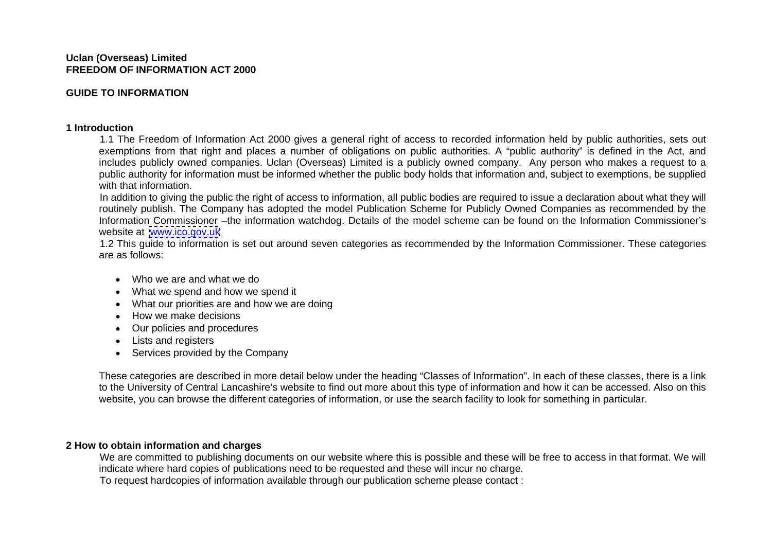### **Uclan (Overseas) Limited FREEDOM OF INFORMATION ACT 2000**

# **GUIDE TO INFORMATION**

## **1 Introduction**

 1.1 The Freedom of Information Act 2000 gives a general right of access to recorded information held by public authorities, sets out exemptions from that right and places a number of obligations on public authorities. A "public authority" is defined in the Act, and includes publicly owned companies. Uclan (Overseas) Limited is a publicly owned company. Any person who makes a request to a public authority for information must be informed whether the public body holds that information and, subject to exemptions, be supplied with that information.

 In addition to giving the public the right of access to information, all public bodies are required to issue a declaration about what they will routinely publish. The Company has adopted the model Publication Scheme for Publicly Owned Companies as recommended by the Information Commissioner –the information watchdog. Details of the model scheme can be found on the Information Commissioner's website at [www.ico.gov.uk](http://www.ico.gov.uk)

 1.2 This guide to information is set out around seven categories as recommended by the Information Commissioner. These categories are as follows:

- Who we are and what we do
- What we spend and how we spend it
- What our priorities are and how we are doing
- How we make decisions
- Our policies and procedures
- Lists and registers
- Services provided by the Company

These categories are described in more detail below under the heading "Classes of Information". In each of these classes, there is a link to the University of Central Lancashire's website to find out more about this type of information and how it can be accessed. Also on this website, you can browse the different categories of information, or use the search facility to look for something in particular.

## **2 How to obtain information and charges**

We are committed to publishing documents on our website where this is possible and these will be free to access in that format. We will indicate where hard copies of publications need to be requested and these will incur no charge. To request hardcopies of information available through our publication scheme please contact :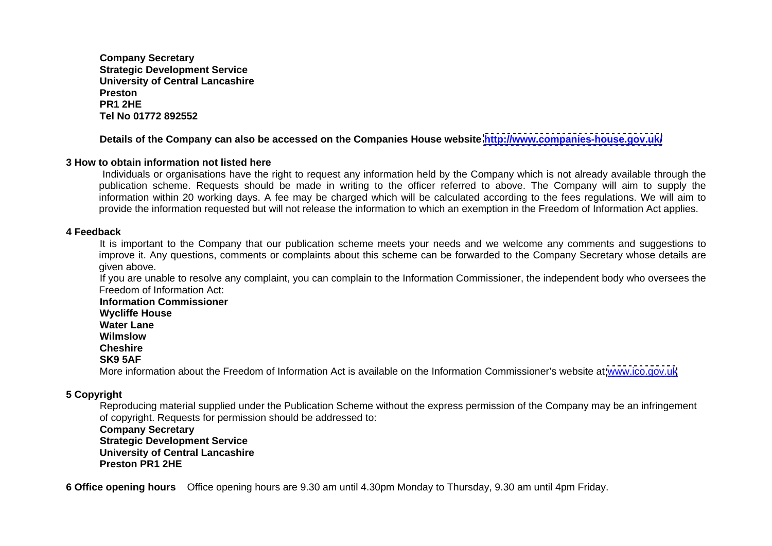**Company Secretary Strategic Development Service University of Central Lancashire Preston PR1 2HE Tel No 01772 892552**

# **Details of the Company can also be accessed on the Companies House website<http://www.companies-house.gov.uk/>**

# **3 How to obtain information not listed here**

Individuals or organisations have the right to request any information held by the Company which is not already available through the publication scheme. Requests should be made in writing to the officer referred to above. The Company will aim to supply the information within 20 working days. A fee may be charged which will be calculated according to the fees regulations. We will aim to provide the information requested but will not release the information to which an exemption in the Freedom of Information Act applies.

# **4 Feedback**

It is important to the Company that our publication scheme meets your needs and we welcome any comments and suggestions to improve it. Any questions, comments or complaints about this scheme can be forwarded to the Company Secretary whose details are given above.

 If you are unable to resolve any complaint, you can complain to the Information Commissioner, the independent body who oversees the Freedom of Information Act:

**Information Commissioner**

 **Wycliffe House**

 **Water Lane**

 **Wilmslow**

 **Cheshire**

## **SK9 5AF**

More information about the Freedom of Information Act is available on the Information Commissioner's website at [www.ico.gov.uk](http://www.ico.gov.uk)

# **5 Copyright**

Reproducing material supplied under the Publication Scheme without the express permission of the Company may be an infringement of copyright. Requests for permission should be addressed to:

**Company Secretary Strategic Development Service University of Central Lancashire Preston PR1 2HE**

**6 Office opening hours** Office opening hours are 9.30 am until 4.30pm Monday to Thursday, 9.30 am until 4pm Friday.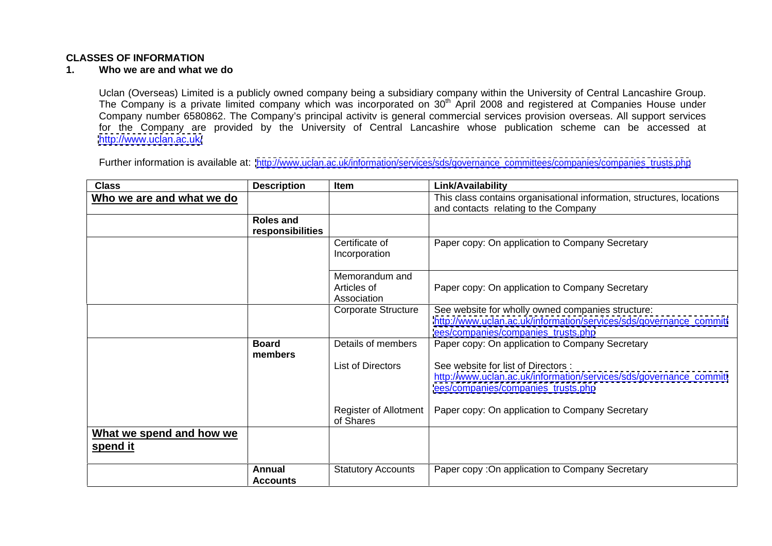## **CLASSES OF INFORMATION**

#### **1. Who we are and what we do**

Uclan (Overseas) Limited is a publicly owned company being a subsidiary company within the University of Central Lancashire Group. The Company is a private limited company which was incorporated on 30<sup>th</sup> April 2008 and registered at Companies House under Company number 6580862. The Company's principal activitv is general commercial services provision overseas. All support services for the Company are provided by the University of Central Lancashire whose publication scheme can be accessed at <http://www.uclan.ac.uk/>

Further information is available at: [http://www.uclan.ac.uk/information/services/sds/governance\\_committees/companies/companies\\_trusts.php](http://www.uclan.ac.uk/information/services/sds/governance_committees/companies/companies_trusts.php)

| <b>Class</b>                            | <b>Description</b> | <b>I</b> Item              | Link/Availability                                                       |
|-----------------------------------------|--------------------|----------------------------|-------------------------------------------------------------------------|
| <u><b>Who we are and what we do</b></u> |                    |                            | This class contains organisational information, structures, locations   |
|                                         |                    |                            | and contacts relating to the Company                                    |
|                                         | <b>Roles and</b>   |                            |                                                                         |
|                                         | responsibilities   |                            |                                                                         |
|                                         |                    | Certificate of             | Paper copy: On application to Company Secretary                         |
|                                         |                    | Incorporation              |                                                                         |
|                                         |                    |                            |                                                                         |
|                                         |                    | Memorandum and             |                                                                         |
|                                         |                    | Articles of                | Paper copy: On application to Company Secretary                         |
|                                         |                    | Association                |                                                                         |
|                                         |                    | <b>Corporate Structure</b> | See website for wholly owned companies structure:                       |
|                                         |                    |                            | http://www.uclan.ac.uk/information/services/sds/governance_committ      |
|                                         |                    |                            | ees/companies/companies_trusts.php                                      |
|                                         | <b>Board</b>       | Details of members         | Paper copy: On application to Company Secretary                         |
|                                         | members            |                            |                                                                         |
|                                         |                    | List of Directors          | See website for list of Directors :                                     |
|                                         |                    |                            | http://www.uclan.ac.uk/information/services/sds/governance_committ      |
|                                         |                    |                            | ees/companies/companies_trusts.php                                      |
|                                         |                    |                            |                                                                         |
|                                         |                    |                            | Register of Allotment   Paper copy: On application to Company Secretary |
|                                         |                    | of Shares                  |                                                                         |
| <b>What we spend and how we</b>         |                    |                            |                                                                         |
| <u>spend it</u>                         |                    |                            |                                                                         |
|                                         |                    |                            |                                                                         |
|                                         | <b>Annual</b>      | <b>Statutory Accounts</b>  | Paper copy : On application to Company Secretary                        |
|                                         | <b>Accounts</b>    |                            |                                                                         |